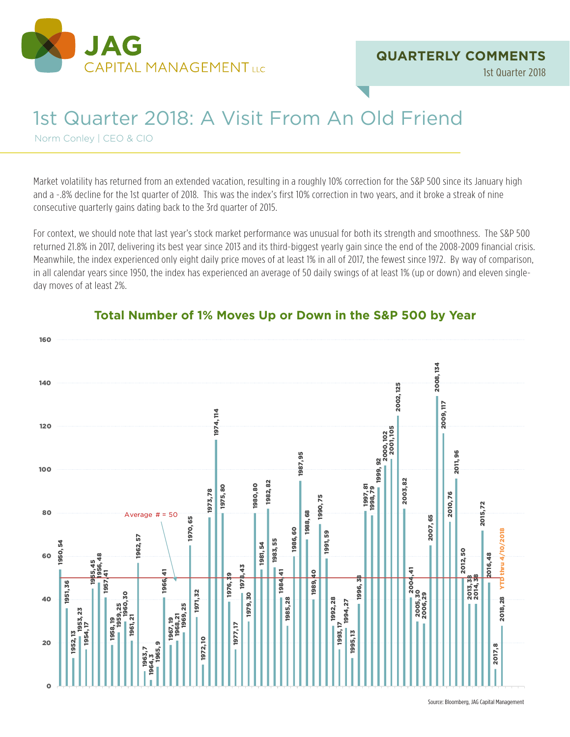

1st Quarter 2018

# 1st Quarter 2018: A Visit From An Old Friend

Norm Conley | CEO & CIO

Market volatility has returned from an extended vacation, resulting in a roughly 10% correction for the S&P 500 since its January high and a -.8% decline for the 1st quarter of 2018. This was the index's first 10% correction in two years, and it broke a streak of nine consecutive quarterly gains dating back to the 3rd quarter of 2015.

For context, we should note that last year's stock market performance was unusual for both its strength and smoothness. The S&P 500 returned 21.8% in 2017, delivering its best year since 2013 and its third-biggest yearly gain since the end of the 2008-2009 financial crisis. Meanwhile, the index experienced only eight daily price moves of at least 1% in all of 2017, the fewest since 1972. By way of comparison, in all calendar years since 1950, the index has experienced an average of 50 daily swings of at least 1% (up or down) and eleven singleday moves of at least 2%.



## **Total Number of 1% Moves Up or Down in the S&P 500 by Year**

Source: Bloomberg, JAG Capital Management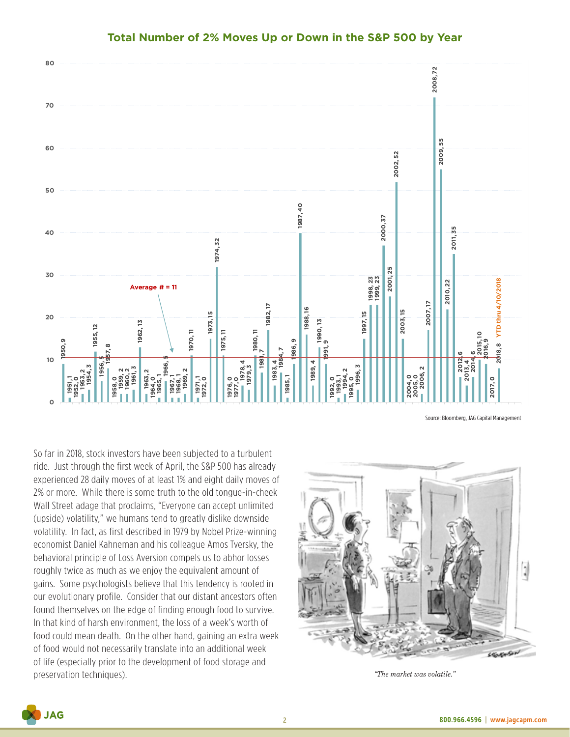

#### **Total Number of 2% Moves Up or Down in the S&P 500 by Year**

Source: Bloomberg, JAG Capital Management

So far in 2018, stock investors have been subjected to a turbulent ride. Just through the first week of April, the S&P 500 has already experienced 28 daily moves of at least 1% and eight daily moves of 2% or more. While there is some truth to the old tongue-in-cheek Wall Street adage that proclaims, "Everyone can accept unlimited (upside) volatility," we humans tend to greatly dislike downside volatility. In fact, as first described in 1979 by Nobel Prize-winning economist Daniel Kahneman and his colleague Amos Tversky, the behavioral principle of Loss Aversion compels us to abhor losses roughly twice as much as we enjoy the equivalent amount of gains. Some psychologists believe that this tendency is rooted in our evolutionary profile. Consider that our distant ancestors often found themselves on the edge of finding enough food to survive. In that kind of harsh environment, the loss of a week's worth of food could mean death. On the other hand, gaining an extra week of food would not necessarily translate into an additional week of life (especially prior to the development of food storage and preservation techniques). *"The market was volatile."*



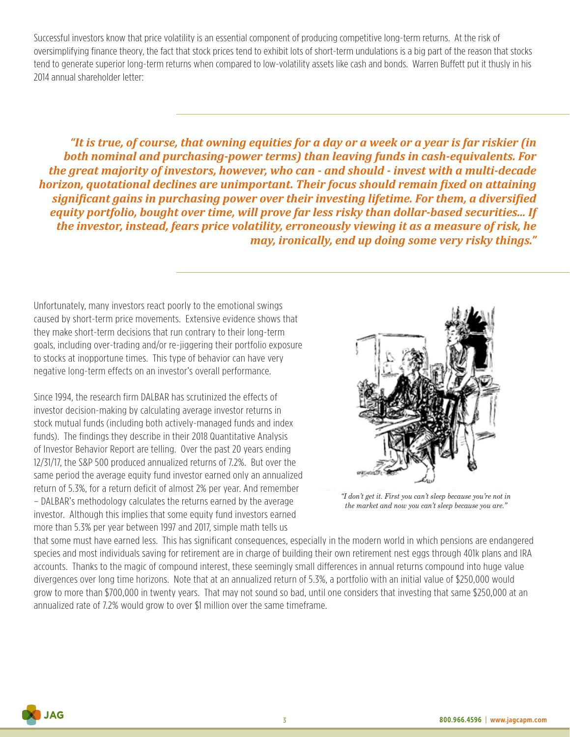Successful investors know that price volatility is an essential component of producing competitive long-term returns. At the risk of oversimplifying finance theory, the fact that stock prices tend to exhibit lots of short-term undulations is a big part of the reason that stocks tend to generate superior long-term returns when compared to low-volatility assets like cash and bonds. Warren Buffett put it thusly in his 2014 annual shareholder letter:

*"It is true, of course, that owning equities for a day or a week or a year is far riskier (in both nominal and purchasing-power terms) than leaving funds in cash-equivalents. For the great majority of investors, however, who can - and should - invest with a multi-decade horizon, quotational declines are unimportant. Their focus should remain fixed on attaining significant gains in purchasing power over their investing lifetime. For them, a diversified equity portfolio, bought over time, will prove far less risky than dollar-based securities... If the investor, instead, fears price volatility, erroneously viewing it as a measure of risk, he may, ironically, end up doing some very risky things."*

Unfortunately, many investors react poorly to the emotional swings caused by short-term price movements. Extensive evidence shows that they make short-term decisions that run contrary to their long-term goals, including over-trading and/or re-jiggering their portfolio exposure to stocks at inopportune times. This type of behavior can have very negative long-term effects on an investor's overall performance.

Since 1994, the research firm DALBAR has scrutinized the effects of investor decision-making by calculating average investor returns in stock mutual funds (including both actively-managed funds and index funds). The findings they describe in their 2018 Quantitative Analysis of Investor Behavior Report are telling. Over the past 20 years ending 12/31/17, the S&P 500 produced annualized returns of 7.2%. But over the same period the average equity fund investor earned only an annualized return of 5.3%, for a return deficit of almost 2% per year. And remember – DALBAR's methodology calculates the returns earned by the average investor. Although this implies that some equity fund investors earned more than 5.3% per year between 1997 and 2017, simple math tells us



*"I don't get it. First you can't sleep because you're not in the market and now you can't sleep because you are."*

that some must have earned less. This has significant consequences, especially in the modern world in which pensions are endangered species and most individuals saving for retirement are in charge of building their own retirement nest eggs through 401k plans and IRA accounts. Thanks to the magic of compound interest, these seemingly small differences in annual returns compound into huge value divergences over long time horizons. Note that at an annualized return of 5.3%, a portfolio with an initial value of \$250,000 would grow to more than \$700,000 in twenty years. That may not sound so bad, until one considers that investing that same \$250,000 at an annualized rate of 7.2% would grow to over \$1 million over the same timeframe.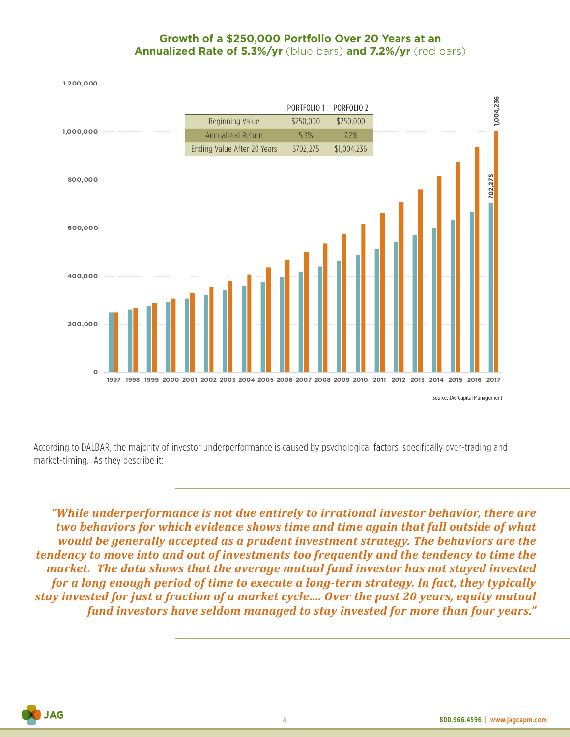### **Growth of a \$250,000 Portfolio Over 20 Years at an Annualized Rate of 5.3%/yr** (blue bars) **and 7.2%/yr** (red bars)



According to DALBAR, the majority of investor underperformance is caused by psychological factors, specifically over-trading and market-timing. As they describe it:

*"While underperformance is not due entirely to irrational investor behavior, there are two behaviors for which evidence shows time and time again that fall outside of what would be generally accepted as a prudent investment strategy. The behaviors are the tendency to move into and out of investments too frequently and the tendency to time the market. The data shows that the average mutual fund investor has not stayed invested for a long enough period of time to execute a long-term strategy. In fact, they typically stay invested for just a fraction of a market cycle…. Over the past 20 years, equity mutual fund investors have seldom managed to stay invested for more than four years."*

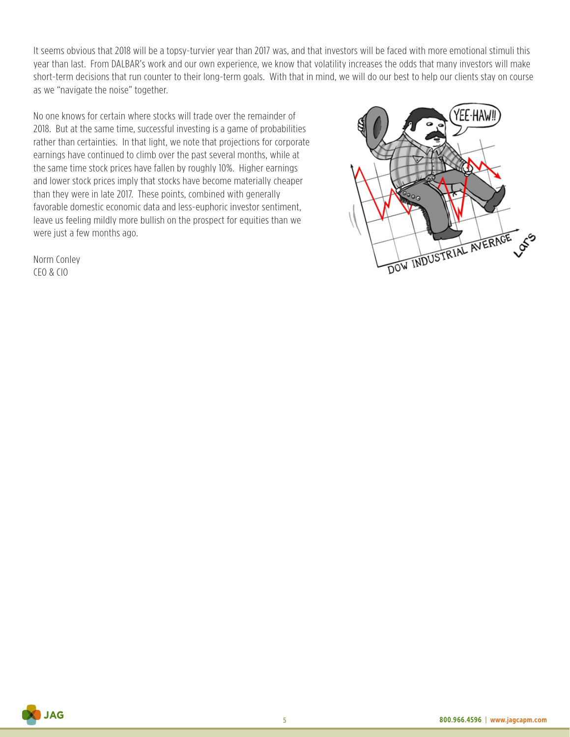It seems obvious that 2018 will be a topsy-turvier year than 2017 was, and that investors will be faced with more emotional stimuli this year than last. From DALBAR's work and our own experience, we know that volatility increases the odds that many investors will make short-term decisions that run counter to their long-term goals. With that in mind, we will do our best to help our clients stay on course as we "navigate the noise" together.

No one knows for certain where stocks will trade over the remainder of 2018. But at the same time, successful investing is a game of probabilities rather than certainties. In that light, we note that projections for corporate earnings have continued to climb over the past several months, while at the same time stock prices have fallen by roughly 10%. Higher earnings and lower stock prices imply that stocks have become materially cheaper than they were in late 2017. These points, combined with generally favorable domestic economic data and less-euphoric investor sentiment, leave us feeling mildly more bullish on the prospect for equities than we were just a few months ago.

Norm Conley CEO & CIO